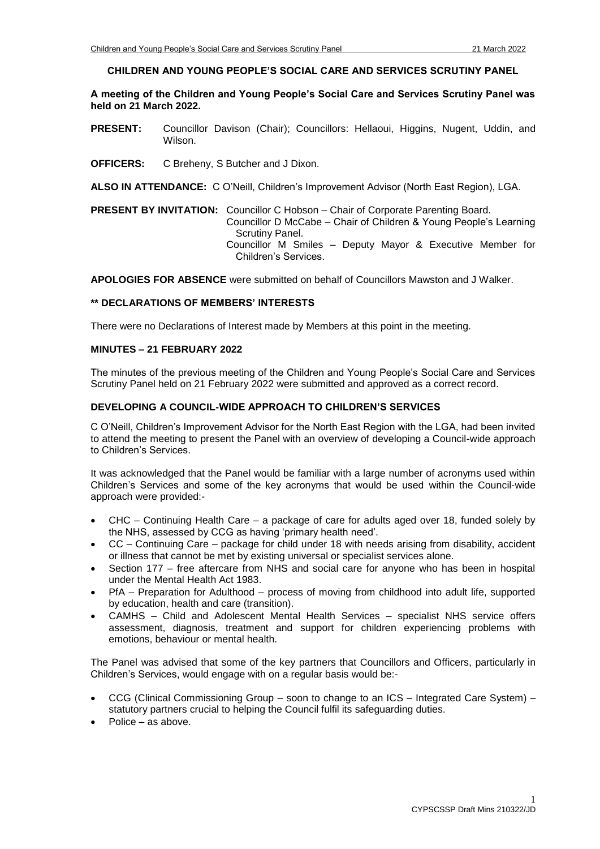#### **CHILDREN AND YOUNG PEOPLE'S SOCIAL CARE AND SERVICES SCRUTINY PANEL**

**A meeting of the Children and Young People's Social Care and Services Scrutiny Panel was held on 21 March 2022.**

- **PRESENT:** Councillor Davison (Chair); Councillors: Hellaoui, Higgins, Nugent, Uddin, and Wilson.
- **OFFICERS:** C Breheny, S Butcher and J Dixon.

**ALSO IN ATTENDANCE:** C O'Neill, Children's Improvement Advisor (North East Region), LGA.

**PRESENT BY INVITATION:** Councillor C Hobson – Chair of Corporate Parenting Board.

Councillor D McCabe – Chair of Children & Young People's Learning Scrutiny Panel.

Councillor M Smiles – Deputy Mayor & Executive Member for Children's Services.

**APOLOGIES FOR ABSENCE** were submitted on behalf of Councillors Mawston and J Walker.

## **\*\* DECLARATIONS OF MEMBERS' INTERESTS**

There were no Declarations of Interest made by Members at this point in the meeting.

## **MINUTES – 21 FEBRUARY 2022**

The minutes of the previous meeting of the Children and Young People's Social Care and Services Scrutiny Panel held on 21 February 2022 were submitted and approved as a correct record.

## **DEVELOPING A COUNCIL-WIDE APPROACH TO CHILDREN'S SERVICES**

C O'Neill, Children's Improvement Advisor for the North East Region with the LGA, had been invited to attend the meeting to present the Panel with an overview of developing a Council-wide approach to Children's Services.

It was acknowledged that the Panel would be familiar with a large number of acronyms used within Children's Services and some of the key acronyms that would be used within the Council-wide approach were provided:-

- CHC Continuing Health Care a package of care for adults aged over 18, funded solely by the NHS, assessed by CCG as having 'primary health need'.
- CC Continuing Care package for child under 18 with needs arising from disability, accident or illness that cannot be met by existing universal or specialist services alone.
- Section 177 free aftercare from NHS and social care for anyone who has been in hospital under the Mental Health Act 1983.
- PfA Preparation for Adulthood process of moving from childhood into adult life, supported by education, health and care (transition).
- CAMHS Child and Adolescent Mental Health Services specialist NHS service offers assessment, diagnosis, treatment and support for children experiencing problems with emotions, behaviour or mental health.

The Panel was advised that some of the key partners that Councillors and Officers, particularly in Children's Services, would engage with on a regular basis would be:-

- CCG (Clinical Commissioning Group soon to change to an ICS Integrated Care System) statutory partners crucial to helping the Council fulfil its safeguarding duties.
- Police as above.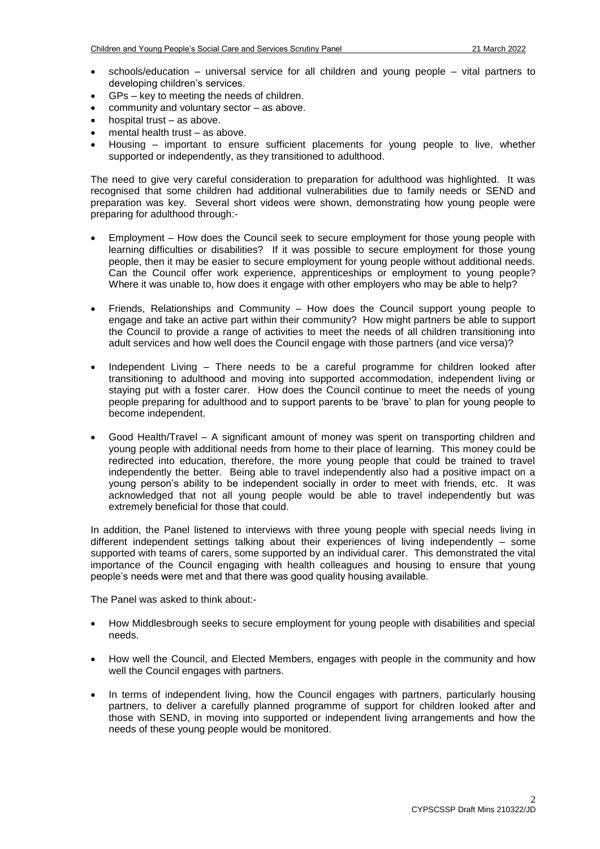- schools/education universal service for all children and young people vital partners to developing children's services.
- GPs key to meeting the needs of children.
- community and voluntary sector as above.
- hospital trust as above.
- mental health trust as above.
- Housing important to ensure sufficient placements for young people to live, whether supported or independently, as they transitioned to adulthood.

The need to give very careful consideration to preparation for adulthood was highlighted. It was recognised that some children had additional vulnerabilities due to family needs or SEND and preparation was key. Several short videos were shown, demonstrating how young people were preparing for adulthood through:-

- Employment How does the Council seek to secure employment for those young people with learning difficulties or disabilities? If it was possible to secure employment for those young people, then it may be easier to secure employment for young people without additional needs. Can the Council offer work experience, apprenticeships or employment to young people? Where it was unable to, how does it engage with other employers who may be able to help?
- Friends, Relationships and Community How does the Council support young people to engage and take an active part within their community? How might partners be able to support the Council to provide a range of activities to meet the needs of all children transitioning into adult services and how well does the Council engage with those partners (and vice versa)?
- Independent Living There needs to be a careful programme for children looked after transitioning to adulthood and moving into supported accommodation, independent living or staying put with a foster carer. How does the Council continue to meet the needs of young people preparing for adulthood and to support parents to be 'brave' to plan for young people to become independent.
- Good Health/Travel A significant amount of money was spent on transporting children and young people with additional needs from home to their place of learning. This money could be redirected into education, therefore, the more young people that could be trained to travel independently the better. Being able to travel independently also had a positive impact on a young person's ability to be independent socially in order to meet with friends, etc. It was acknowledged that not all young people would be able to travel independently but was extremely beneficial for those that could.

In addition, the Panel listened to interviews with three young people with special needs living in different independent settings talking about their experiences of living independently – some supported with teams of carers, some supported by an individual carer. This demonstrated the vital importance of the Council engaging with health colleagues and housing to ensure that young people's needs were met and that there was good quality housing available.

The Panel was asked to think about:-

- How Middlesbrough seeks to secure employment for young people with disabilities and special needs.
- How well the Council, and Elected Members, engages with people in the community and how well the Council engages with partners.
- In terms of independent living, how the Council engages with partners, particularly housing partners, to deliver a carefully planned programme of support for children looked after and those with SEND, in moving into supported or independent living arrangements and how the needs of these young people would be monitored.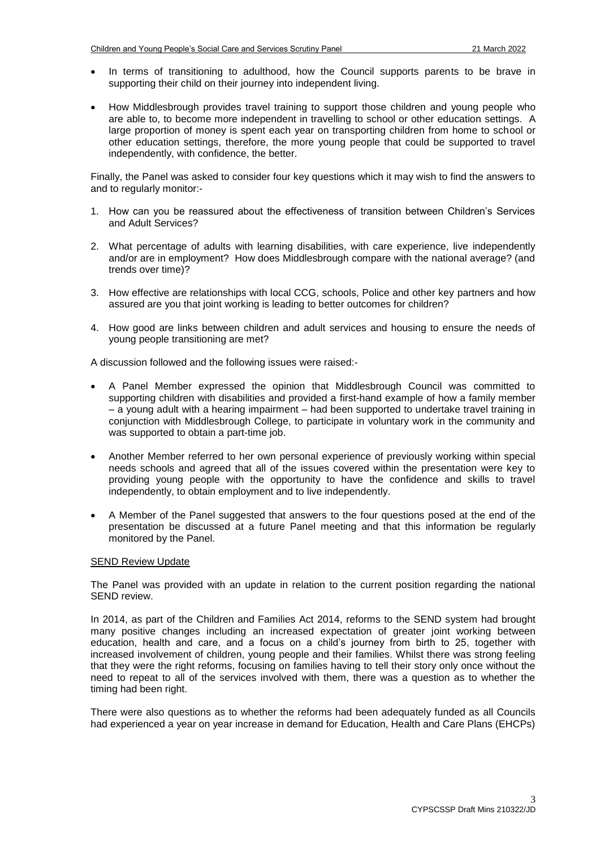- In terms of transitioning to adulthood, how the Council supports parents to be brave in supporting their child on their journey into independent living.
- How Middlesbrough provides travel training to support those children and young people who are able to, to become more independent in travelling to school or other education settings. A large proportion of money is spent each year on transporting children from home to school or other education settings, therefore, the more young people that could be supported to travel independently, with confidence, the better.

Finally, the Panel was asked to consider four key questions which it may wish to find the answers to and to regularly monitor:-

- 1. How can you be reassured about the effectiveness of transition between Children's Services and Adult Services?
- 2. What percentage of adults with learning disabilities, with care experience, live independently and/or are in employment? How does Middlesbrough compare with the national average? (and trends over time)?
- 3. How effective are relationships with local CCG, schools, Police and other key partners and how assured are you that joint working is leading to better outcomes for children?
- 4. How good are links between children and adult services and housing to ensure the needs of young people transitioning are met?

A discussion followed and the following issues were raised:-

- A Panel Member expressed the opinion that Middlesbrough Council was committed to supporting children with disabilities and provided a first-hand example of how a family member – a young adult with a hearing impairment – had been supported to undertake travel training in conjunction with Middlesbrough College, to participate in voluntary work in the community and was supported to obtain a part-time job.
- Another Member referred to her own personal experience of previously working within special needs schools and agreed that all of the issues covered within the presentation were key to providing young people with the opportunity to have the confidence and skills to travel independently, to obtain employment and to live independently.
- A Member of the Panel suggested that answers to the four questions posed at the end of the presentation be discussed at a future Panel meeting and that this information be regularly monitored by the Panel.

### SEND Review Update

The Panel was provided with an update in relation to the current position regarding the national SEND review.

In 2014, as part of the Children and Families Act 2014, reforms to the SEND system had brought many positive changes including an increased expectation of greater joint working between education, health and care, and a focus on a child's journey from birth to 25, together with increased involvement of children, young people and their families. Whilst there was strong feeling that they were the right reforms, focusing on families having to tell their story only once without the need to repeat to all of the services involved with them, there was a question as to whether the timing had been right.

There were also questions as to whether the reforms had been adequately funded as all Councils had experienced a year on year increase in demand for Education, Health and Care Plans (EHCPs)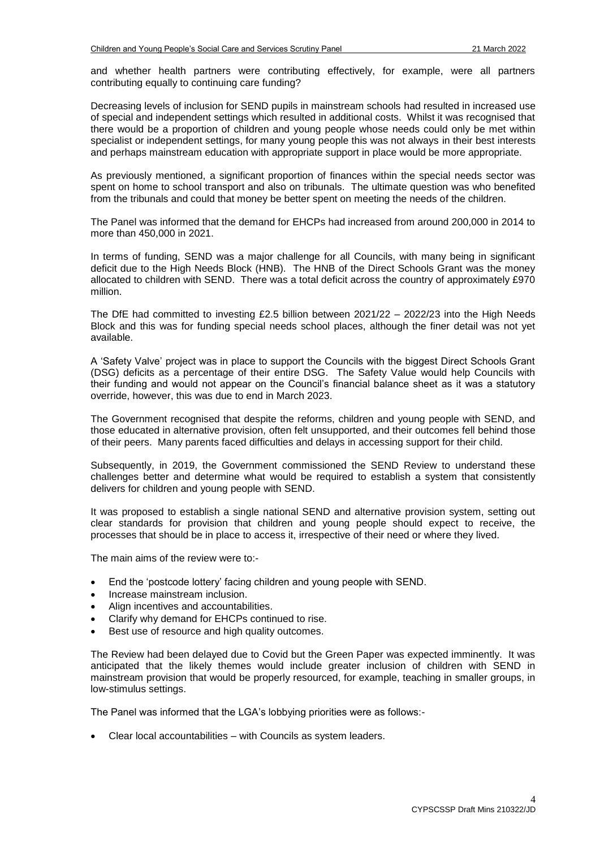and whether health partners were contributing effectively, for example, were all partners contributing equally to continuing care funding?

Decreasing levels of inclusion for SEND pupils in mainstream schools had resulted in increased use of special and independent settings which resulted in additional costs. Whilst it was recognised that there would be a proportion of children and young people whose needs could only be met within specialist or independent settings, for many young people this was not always in their best interests and perhaps mainstream education with appropriate support in place would be more appropriate.

As previously mentioned, a significant proportion of finances within the special needs sector was spent on home to school transport and also on tribunals. The ultimate question was who benefited from the tribunals and could that money be better spent on meeting the needs of the children.

The Panel was informed that the demand for EHCPs had increased from around 200,000 in 2014 to more than 450,000 in 2021.

In terms of funding, SEND was a major challenge for all Councils, with many being in significant deficit due to the High Needs Block (HNB). The HNB of the Direct Schools Grant was the money allocated to children with SEND. There was a total deficit across the country of approximately £970 million.

The DfE had committed to investing £2.5 billion between  $2021/22 - 2022/23$  into the High Needs Block and this was for funding special needs school places, although the finer detail was not yet available.

A 'Safety Valve' project was in place to support the Councils with the biggest Direct Schools Grant (DSG) deficits as a percentage of their entire DSG. The Safety Value would help Councils with their funding and would not appear on the Council's financial balance sheet as it was a statutory override, however, this was due to end in March 2023.

The Government recognised that despite the reforms, children and young people with SEND, and those educated in alternative provision, often felt unsupported, and their outcomes fell behind those of their peers. Many parents faced difficulties and delays in accessing support for their child.

Subsequently, in 2019, the Government commissioned the SEND Review to understand these challenges better and determine what would be required to establish a system that consistently delivers for children and young people with SEND.

It was proposed to establish a single national SEND and alternative provision system, setting out clear standards for provision that children and young people should expect to receive, the processes that should be in place to access it, irrespective of their need or where they lived.

The main aims of the review were to:-

- End the 'postcode lottery' facing children and young people with SEND.
- Increase mainstream inclusion.
- Align incentives and accountabilities.
- Clarify why demand for EHCPs continued to rise.
- Best use of resource and high quality outcomes.

The Review had been delayed due to Covid but the Green Paper was expected imminently. It was anticipated that the likely themes would include greater inclusion of children with SEND in mainstream provision that would be properly resourced, for example, teaching in smaller groups, in low-stimulus settings.

The Panel was informed that the LGA's lobbying priorities were as follows:-

Clear local accountabilities – with Councils as system leaders.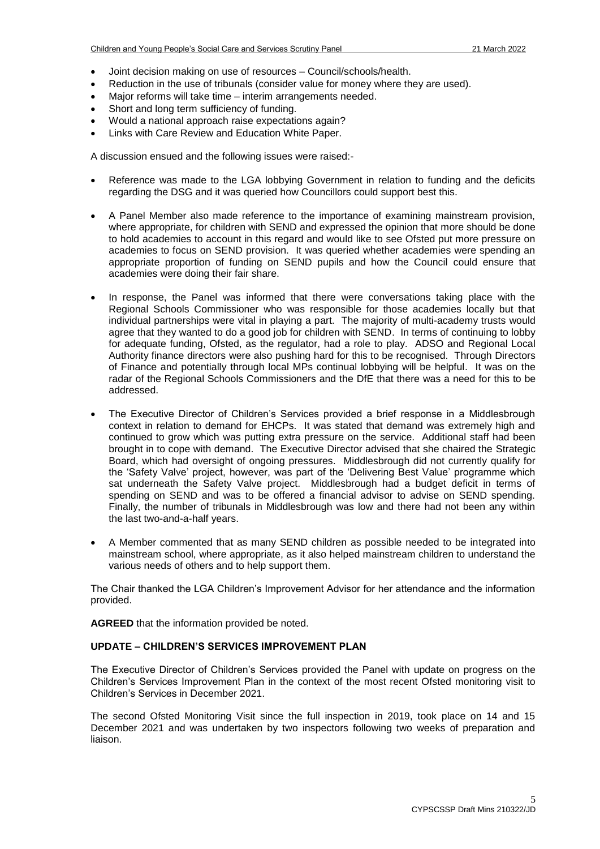- Joint decision making on use of resources Council/schools/health.
- Reduction in the use of tribunals (consider value for money where they are used).
- Major reforms will take time interim arrangements needed.
- Short and long term sufficiency of funding.
- Would a national approach raise expectations again?
- Links with Care Review and Education White Paper.

A discussion ensued and the following issues were raised:-

- Reference was made to the LGA lobbying Government in relation to funding and the deficits regarding the DSG and it was queried how Councillors could support best this.
- A Panel Member also made reference to the importance of examining mainstream provision, where appropriate, for children with SEND and expressed the opinion that more should be done to hold academies to account in this regard and would like to see Ofsted put more pressure on academies to focus on SEND provision. It was queried whether academies were spending an appropriate proportion of funding on SEND pupils and how the Council could ensure that academies were doing their fair share.
- In response, the Panel was informed that there were conversations taking place with the Regional Schools Commissioner who was responsible for those academies locally but that individual partnerships were vital in playing a part. The majority of multi-academy trusts would agree that they wanted to do a good job for children with SEND. In terms of continuing to lobby for adequate funding, Ofsted, as the regulator, had a role to play. ADSO and Regional Local Authority finance directors were also pushing hard for this to be recognised. Through Directors of Finance and potentially through local MPs continual lobbying will be helpful. It was on the radar of the Regional Schools Commissioners and the DfE that there was a need for this to be addressed.
- The Executive Director of Children's Services provided a brief response in a Middlesbrough context in relation to demand for EHCPs. It was stated that demand was extremely high and continued to grow which was putting extra pressure on the service. Additional staff had been brought in to cope with demand. The Executive Director advised that she chaired the Strategic Board, which had oversight of ongoing pressures. Middlesbrough did not currently qualify for the 'Safety Valve' project, however, was part of the 'Delivering Best Value' programme which sat underneath the Safety Valve project. Middlesbrough had a budget deficit in terms of spending on SEND and was to be offered a financial advisor to advise on SEND spending. Finally, the number of tribunals in Middlesbrough was low and there had not been any within the last two-and-a-half years.
- A Member commented that as many SEND children as possible needed to be integrated into mainstream school, where appropriate, as it also helped mainstream children to understand the various needs of others and to help support them.

The Chair thanked the LGA Children's Improvement Advisor for her attendance and the information provided.

**AGREED** that the information provided be noted.

## **UPDATE – CHILDREN'S SERVICES IMPROVEMENT PLAN**

The Executive Director of Children's Services provided the Panel with update on progress on the Children's Services Improvement Plan in the context of the most recent Ofsted monitoring visit to Children's Services in December 2021.

The second Ofsted Monitoring Visit since the full inspection in 2019, took place on 14 and 15 December 2021 and was undertaken by two inspectors following two weeks of preparation and liaison.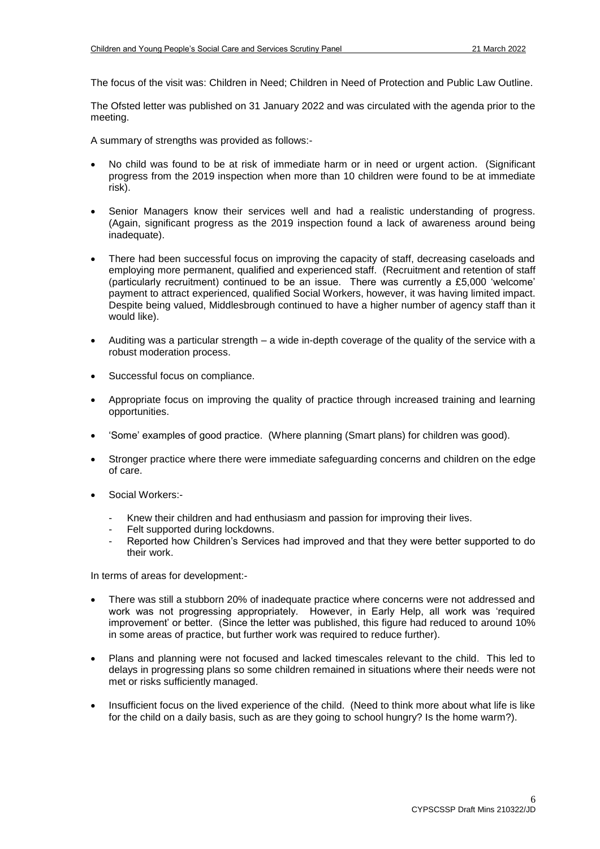The focus of the visit was: Children in Need; Children in Need of Protection and Public Law Outline.

The Ofsted letter was published on 31 January 2022 and was circulated with the agenda prior to the meeting.

A summary of strengths was provided as follows:-

- No child was found to be at risk of immediate harm or in need or urgent action. (Significant progress from the 2019 inspection when more than 10 children were found to be at immediate risk).
- Senior Managers know their services well and had a realistic understanding of progress. (Again, significant progress as the 2019 inspection found a lack of awareness around being inadequate).
- There had been successful focus on improving the capacity of staff, decreasing caseloads and employing more permanent, qualified and experienced staff. (Recruitment and retention of staff (particularly recruitment) continued to be an issue. There was currently a £5,000 'welcome' payment to attract experienced, qualified Social Workers, however, it was having limited impact. Despite being valued, Middlesbrough continued to have a higher number of agency staff than it would like).
- Auditing was a particular strength a wide in-depth coverage of the quality of the service with a robust moderation process.
- Successful focus on compliance.
- Appropriate focus on improving the quality of practice through increased training and learning opportunities.
- 'Some' examples of good practice. (Where planning (Smart plans) for children was good).
- Stronger practice where there were immediate safeguarding concerns and children on the edge of care.
- Social Workers:-
	- Knew their children and had enthusiasm and passion for improving their lives.
	- Felt supported during lockdowns.
	- Reported how Children's Services had improved and that they were better supported to do their work.

In terms of areas for development:-

- There was still a stubborn 20% of inadequate practice where concerns were not addressed and work was not progressing appropriately. However, in Early Help, all work was 'required improvement' or better. (Since the letter was published, this figure had reduced to around 10% in some areas of practice, but further work was required to reduce further).
- Plans and planning were not focused and lacked timescales relevant to the child. This led to delays in progressing plans so some children remained in situations where their needs were not met or risks sufficiently managed.
- Insufficient focus on the lived experience of the child. (Need to think more about what life is like for the child on a daily basis, such as are they going to school hungry? Is the home warm?).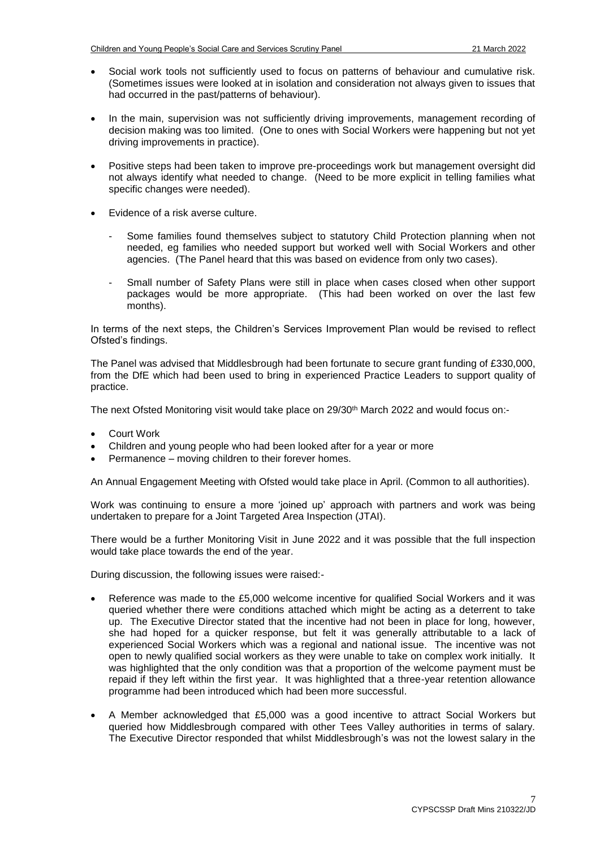- Social work tools not sufficiently used to focus on patterns of behaviour and cumulative risk. (Sometimes issues were looked at in isolation and consideration not always given to issues that had occurred in the past/patterns of behaviour).
- In the main, supervision was not sufficiently driving improvements, management recording of decision making was too limited. (One to ones with Social Workers were happening but not yet driving improvements in practice).
- Positive steps had been taken to improve pre-proceedings work but management oversight did not always identify what needed to change. (Need to be more explicit in telling families what specific changes were needed).
- Evidence of a risk averse culture.
	- Some families found themselves subject to statutory Child Protection planning when not needed, eg families who needed support but worked well with Social Workers and other agencies. (The Panel heard that this was based on evidence from only two cases).
	- Small number of Safety Plans were still in place when cases closed when other support packages would be more appropriate. (This had been worked on over the last few months).

In terms of the next steps, the Children's Services Improvement Plan would be revised to reflect Ofsted's findings.

The Panel was advised that Middlesbrough had been fortunate to secure grant funding of £330,000, from the DfE which had been used to bring in experienced Practice Leaders to support quality of practice.

The next Ofsted Monitoring visit would take place on 29/30<sup>th</sup> March 2022 and would focus on:-

- Court Work
- Children and young people who had been looked after for a year or more
- Permanence moving children to their forever homes.

An Annual Engagement Meeting with Ofsted would take place in April. (Common to all authorities).

Work was continuing to ensure a more 'joined up' approach with partners and work was being undertaken to prepare for a Joint Targeted Area Inspection (JTAI).

There would be a further Monitoring Visit in June 2022 and it was possible that the full inspection would take place towards the end of the year.

During discussion, the following issues were raised:-

- Reference was made to the £5,000 welcome incentive for qualified Social Workers and it was queried whether there were conditions attached which might be acting as a deterrent to take up. The Executive Director stated that the incentive had not been in place for long, however, she had hoped for a quicker response, but felt it was generally attributable to a lack of experienced Social Workers which was a regional and national issue. The incentive was not open to newly qualified social workers as they were unable to take on complex work initially. It was highlighted that the only condition was that a proportion of the welcome payment must be repaid if they left within the first year. It was highlighted that a three-year retention allowance programme had been introduced which had been more successful.
- A Member acknowledged that £5,000 was a good incentive to attract Social Workers but queried how Middlesbrough compared with other Tees Valley authorities in terms of salary. The Executive Director responded that whilst Middlesbrough's was not the lowest salary in the